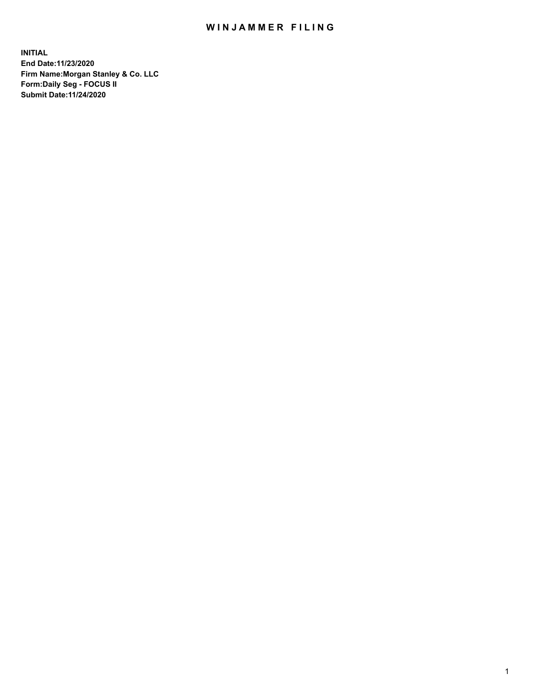## WIN JAMMER FILING

**INITIAL End Date:11/23/2020 Firm Name:Morgan Stanley & Co. LLC Form:Daily Seg - FOCUS II Submit Date:11/24/2020**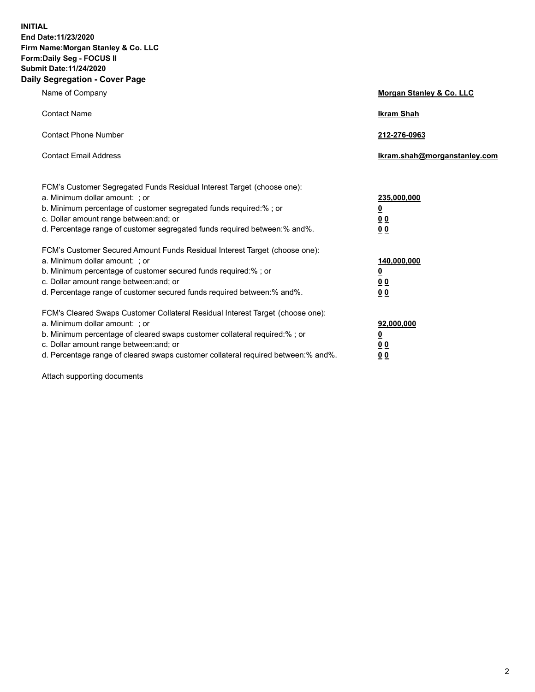**INITIAL End Date:11/23/2020 Firm Name:Morgan Stanley & Co. LLC Form:Daily Seg - FOCUS II Submit Date:11/24/2020 Daily Segregation - Cover Page**

| Name of Company                                                                                                                                                                                                                                                                                                                | Morgan Stanley & Co. LLC                                |
|--------------------------------------------------------------------------------------------------------------------------------------------------------------------------------------------------------------------------------------------------------------------------------------------------------------------------------|---------------------------------------------------------|
| <b>Contact Name</b>                                                                                                                                                                                                                                                                                                            | <b>Ikram Shah</b>                                       |
| <b>Contact Phone Number</b>                                                                                                                                                                                                                                                                                                    | 212-276-0963                                            |
| <b>Contact Email Address</b>                                                                                                                                                                                                                                                                                                   | Ikram.shah@morganstanley.com                            |
| FCM's Customer Segregated Funds Residual Interest Target (choose one):<br>a. Minimum dollar amount: ; or<br>b. Minimum percentage of customer segregated funds required:%; or<br>c. Dollar amount range between: and; or<br>d. Percentage range of customer segregated funds required between: % and %.                        | 235,000,000<br><u>0</u><br>00<br>0 Q                    |
| FCM's Customer Secured Amount Funds Residual Interest Target (choose one):<br>a. Minimum dollar amount: ; or<br>b. Minimum percentage of customer secured funds required:%; or<br>c. Dollar amount range between: and; or<br>d. Percentage range of customer secured funds required between:% and%.                            | 140,000,000<br><u>0</u><br><u>0 0</u><br>0 <sub>0</sub> |
| FCM's Cleared Swaps Customer Collateral Residual Interest Target (choose one):<br>a. Minimum dollar amount: ; or<br>b. Minimum percentage of cleared swaps customer collateral required:% ; or<br>c. Dollar amount range between: and; or<br>d. Percentage range of cleared swaps customer collateral required between:% and%. | 92,000,000<br><u>0</u><br><u>00</u><br>00               |

Attach supporting documents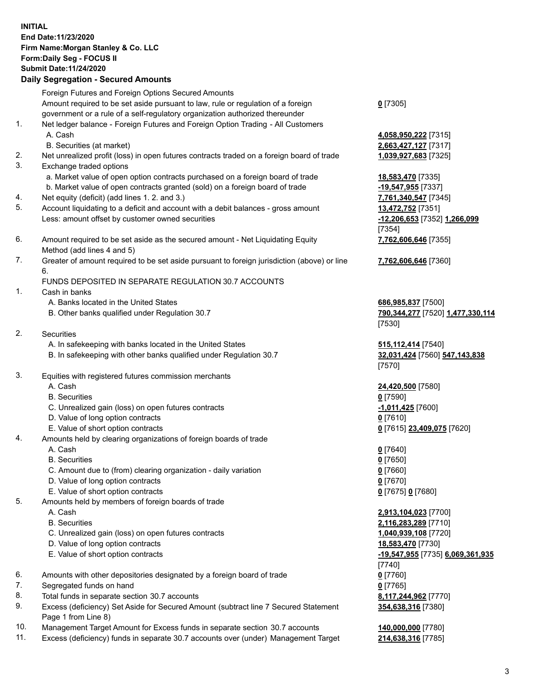## **INITIAL End Date:11/23/2020 Firm Name:Morgan Stanley & Co. LLC Form:Daily Seg - FOCUS II Submit Date:11/24/2020 Daily Segregation - Secured Amounts**

Foreign Futures and Foreign Options Secured Amounts Amount required to be set aside pursuant to law, rule or regulation of a foreign government or a rule of a self-regulatory organization authorized thereunder 1. Net ledger balance - Foreign Futures and Foreign Option Trading - All Customers A. Cash **4,058,950,222** [7315] B. Securities (at market) **2,663,427,127** [7317] 2. Net unrealized profit (loss) in open futures contracts traded on a foreign board of trade **1,039,927,683** [7325] 3. Exchange traded options a. Market value of open option contracts purchased on a foreign board of trade **18,583,470** [7335] b. Market value of open contracts granted (sold) on a foreign board of trade **-19,547,955** [7337] 4. Net equity (deficit) (add lines 1. 2. and 3.) **7,761,340,547** [7345] 5. Account liquidating to a deficit and account with a debit balances - gross amount **13,472,752** [7351] Less: amount offset by customer owned securities **-12,206,653** [7352] **1,266,099** 6. Amount required to be set aside as the secured amount - Net Liquidating Equity Method (add lines 4 and 5) 7. Greater of amount required to be set aside pursuant to foreign jurisdiction (above) or line 6.

## FUNDS DEPOSITED IN SEPARATE REGULATION 30.7 ACCOUNTS

- 1. Cash in banks
	- A. Banks located in the United States **686,985,837** [7500]
	- B. Other banks qualified under Regulation 30.7 **790,344,277** [7520] **1,477,330,114**
- 2. Securities
	- A. In safekeeping with banks located in the United States **515,112,414** [7540]
	- B. In safekeeping with other banks qualified under Regulation 30.7 **32,031,424** [7560] **547,143,838**
- 3. Equities with registered futures commission merchants
	-
	- B. Securities **0** [7590]
	- C. Unrealized gain (loss) on open futures contracts **-1,011,425** [7600]
	- D. Value of long option contracts **0** [7610]
	- E. Value of short option contracts **0** [7615] **23,409,075** [7620]
- 4. Amounts held by clearing organizations of foreign boards of trade
	- A. Cash **0** [7640]
	- B. Securities **0** [7650]
	- C. Amount due to (from) clearing organization daily variation **0** [7660]
	- D. Value of long option contracts **0** [7670]
	- E. Value of short option contracts **0** [7675] **0** [7680]
- 5. Amounts held by members of foreign boards of trade
	-
	-
	- C. Unrealized gain (loss) on open futures contracts **1,040,939,108** [7720]
	- D. Value of long option contracts **18,583,470** [7730]
	-
- 6. Amounts with other depositories designated by a foreign board of trade **0** [7760]
- 7. Segregated funds on hand **0** [7765]
- 8. Total funds in separate section 30.7 accounts **8,117,244,962** [7770]
- 9. Excess (deficiency) Set Aside for Secured Amount (subtract line 7 Secured Statement Page 1 from Line 8)
- 10. Management Target Amount for Excess funds in separate section 30.7 accounts **140,000,000** [7780]
- 11. Excess (deficiency) funds in separate 30.7 accounts over (under) Management Target **214,638,316** [7785]

**0** [7305]

[7354] **7,762,606,646** [7355]

**7,762,606,646** [7360]

[7530]

[7570]

A. Cash **24,420,500** [7580]

 A. Cash **2,913,104,023** [7700] B. Securities **2,116,283,289** [7710] E. Value of short option contracts **-19,547,955** [7735] **6,069,361,935** [7740] **354,638,316** [7380]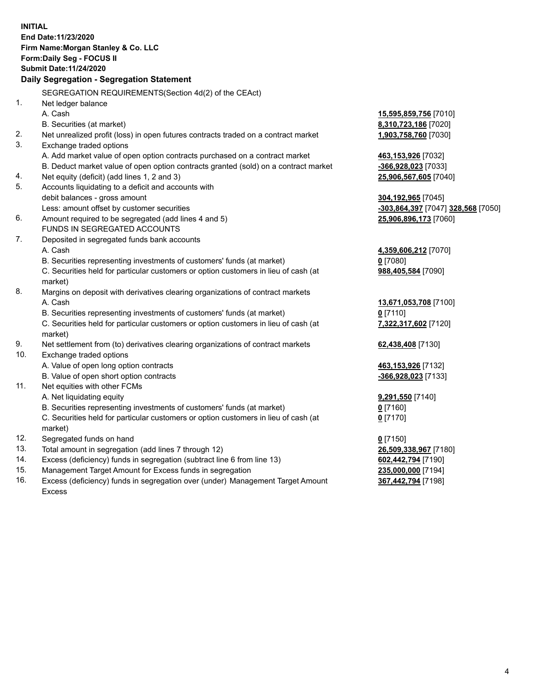|     | <b>INITIAL</b><br>End Date: 11/23/2020                                                         |                                    |
|-----|------------------------------------------------------------------------------------------------|------------------------------------|
|     | Firm Name: Morgan Stanley & Co. LLC                                                            |                                    |
|     | Form: Daily Seg - FOCUS II                                                                     |                                    |
|     | <b>Submit Date: 11/24/2020</b>                                                                 |                                    |
|     | Daily Segregation - Segregation Statement                                                      |                                    |
|     | SEGREGATION REQUIREMENTS(Section 4d(2) of the CEAct)                                           |                                    |
| 1.  | Net ledger balance                                                                             |                                    |
|     | A. Cash                                                                                        | 15,595,859,756 [7010]              |
|     | B. Securities (at market)                                                                      | 8,310,723,186 [7020]               |
| 2.  | Net unrealized profit (loss) in open futures contracts traded on a contract market             | 1,903,758,760 [7030]               |
| 3.  | Exchange traded options                                                                        |                                    |
|     | A. Add market value of open option contracts purchased on a contract market                    | 463,153,926 [7032]                 |
|     | B. Deduct market value of open option contracts granted (sold) on a contract market            | -366,928,023 [7033]                |
| 4.  | Net equity (deficit) (add lines 1, 2 and 3)                                                    | 25,906,567,605 [7040]              |
| 5.  | Accounts liquidating to a deficit and accounts with                                            |                                    |
|     | debit balances - gross amount                                                                  | 304,192,965 [7045]                 |
|     | Less: amount offset by customer securities                                                     | -303,864,397 [7047] 328,568 [7050] |
| 6.  | Amount required to be segregated (add lines 4 and 5)                                           | 25,906,896,173 [7060]              |
|     | FUNDS IN SEGREGATED ACCOUNTS                                                                   |                                    |
| 7.  | Deposited in segregated funds bank accounts                                                    |                                    |
|     | A. Cash                                                                                        | 4,359,606,212 [7070]               |
|     | B. Securities representing investments of customers' funds (at market)                         | $0$ [7080]                         |
|     | C. Securities held for particular customers or option customers in lieu of cash (at            | 988,405,584 [7090]                 |
|     | market)                                                                                        |                                    |
| 8.  | Margins on deposit with derivatives clearing organizations of contract markets                 |                                    |
|     | A. Cash                                                                                        | 13,671,053,708 [7100]              |
|     | B. Securities representing investments of customers' funds (at market)                         | $0$ [7110]                         |
|     | C. Securities held for particular customers or option customers in lieu of cash (at<br>market) | 7,322,317,602 [7120]               |
| 9.  | Net settlement from (to) derivatives clearing organizations of contract markets                | 62,438,408 [7130]                  |
| 10. | Exchange traded options                                                                        |                                    |
|     | A. Value of open long option contracts                                                         | 463,153,926 [7132]                 |
|     | B. Value of open short option contracts                                                        | -366,928,023 [7133]                |
| 11. | Net equities with other FCMs                                                                   |                                    |
|     | A. Net liquidating equity                                                                      | 9,291,550 [7140]                   |
|     | B. Securities representing investments of customers' funds (at market)                         | 0 [7160]                           |
|     | C. Securities held for particular customers or option customers in lieu of cash (at<br>market) | $0$ [7170]                         |
| 12. | Segregated funds on hand                                                                       | $0$ [7150]                         |
| 13. | Total amount in segregation (add lines 7 through 12)                                           | 26,509,338,967 [7180]              |
| 14. | Excess (deficiency) funds in segregation (subtract line 6 from line 13)                        | 602,442,794 [7190]                 |
| 15. | Management Target Amount for Excess funds in segregation                                       | 235,000,000 [7194]                 |
| 16. | Excess (deficiency) funds in segregation over (under) Management Target Amount                 | 367,442,794 [7198]                 |

Excess

 $\overline{4}$ 

367,442,794 [7198]